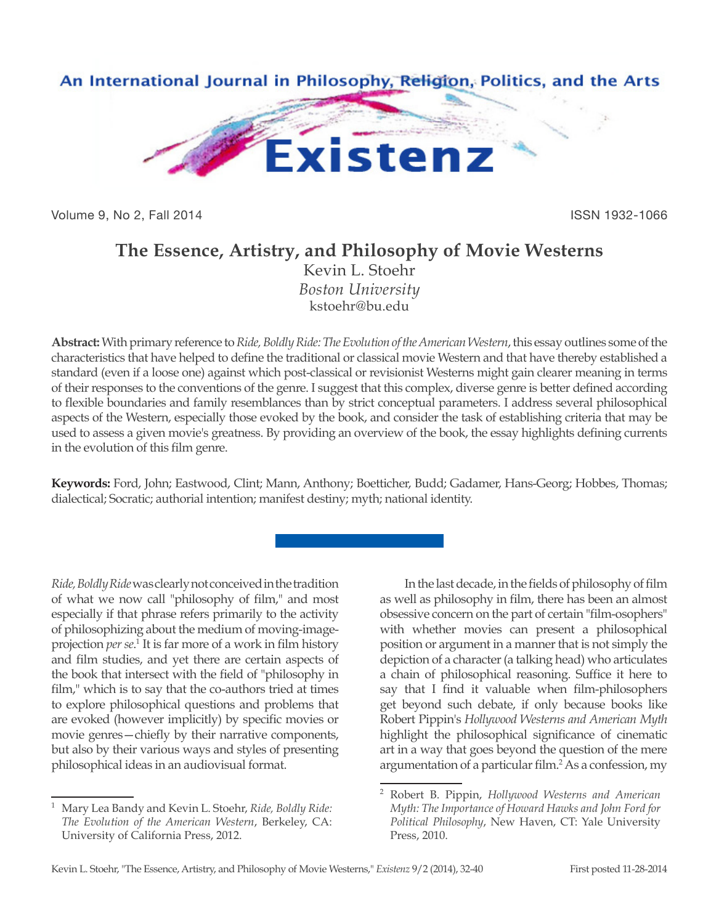

Volume 9, No 2, Fall 2014 **ISSN 1932-1066** 

## **The Essence, Artistry, and Philosophy of Movie Westerns**

Kevin L. Stoehr *Boston University* kstoehr@bu.edu

**Abstract:** With primary reference to *Ride, Boldly Ride: The Evolution of the American Western*, this essay outlines some of the characteristics that have helped to define the traditional or classical movie Western and that have thereby established a standard (even if a loose one) against which post-classical or revisionist Westerns might gain clearer meaning in terms of their responses to the conventions of the genre. I suggest that this complex, diverse genre is better defined according to flexible boundaries and family resemblances than by strict conceptual parameters. I address several philosophical aspects of the Western, especially those evoked by the book, and consider the task of establishing criteria that may be used to assess a given movie's greatness. By providing an overview of the book, the essay highlights defining currents in the evolution of this film genre.

**Keywords:** Ford, John; Eastwood, Clint; Mann, Anthony; Boetticher, Budd; Gadamer, Hans-Georg; Hobbes, Thomas; dialectical; Socratic; authorial intention; manifest destiny; myth; national identity.

*Ride, Boldly Ride* was clearly not conceived in the tradition of what we now call "philosophy of film," and most especially if that phrase refers primarily to the activity of philosophizing about the medium of moving-imageprojection *per se*.<sup>1</sup> It is far more of a work in film history and film studies, and yet there are certain aspects of the book that intersect with the field of "philosophy in film," which is to say that the co-authors tried at times to explore philosophical questions and problems that are evoked (however implicitly) by specific movies or movie genres—chiefly by their narrative components, but also by their various ways and styles of presenting philosophical ideas in an audiovisual format.

In the last decade, in the fields of philosophy of film as well as philosophy in film, there has been an almost obsessive concern on the part of certain "film-osophers" with whether movies can present a philosophical position or argument in a manner that is not simply the depiction of a character (a talking head) who articulates a chain of philosophical reasoning. Suffice it here to say that I find it valuable when film-philosophers get beyond such debate, if only because books like Robert Pippin's *Hollywood Westerns and American Myth* highlight the philosophical significance of cinematic art in a way that goes beyond the question of the mere argumentation of a particular film.<sup>2</sup> As a confession, my

<sup>1</sup> Mary Lea Bandy and Kevin L. Stoehr, *Ride, Boldly Ride: The Evolution of the American Western*, Berkeley, CA: University of California Press, 2012.

<sup>2</sup> Robert B. Pippin, *Hollywood Westerns and American Myth: The Importance of Howard Hawks and John Ford for Political Philosophy*, New Haven, CT: Yale University Press, 2010.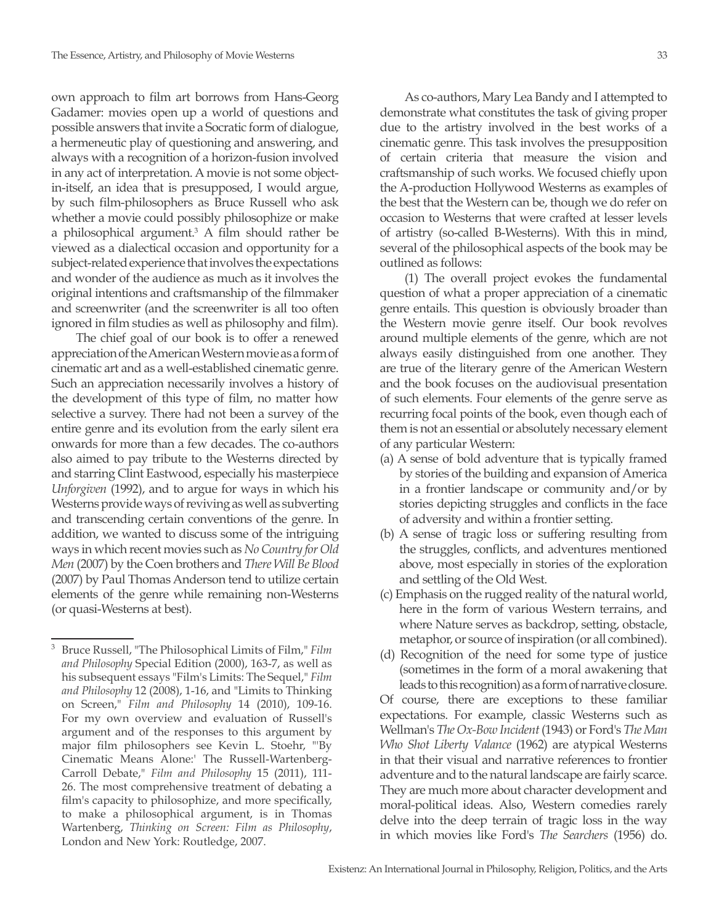own approach to film art borrows from Hans-Georg Gadamer: movies open up a world of questions and possible answers that invite a Socratic form of dialogue, a hermeneutic play of questioning and answering, and always with a recognition of a horizon-fusion involved in any act of interpretation. A movie is not some objectin-itself, an idea that is presupposed, I would argue, by such film-philosophers as Bruce Russell who ask whether a movie could possibly philosophize or make a philosophical argument.<sup>3</sup> A film should rather be viewed as a dialectical occasion and opportunity for a subject-related experience that involves the expectations and wonder of the audience as much as it involves the original intentions and craftsmanship of the filmmaker and screenwriter (and the screenwriter is all too often ignored in film studies as well as philosophy and film).

The chief goal of our book is to offer a renewed appreciation of the American Western movie as a form of cinematic art and as a well-established cinematic genre. Such an appreciation necessarily involves a history of the development of this type of film, no matter how selective a survey. There had not been a survey of the entire genre and its evolution from the early silent era onwards for more than a few decades. The co-authors also aimed to pay tribute to the Westerns directed by and starring Clint Eastwood, especially his masterpiece *Unforgiven* (1992), and to argue for ways in which his Westerns provide ways of reviving as well as subverting and transcending certain conventions of the genre. In addition, we wanted to discuss some of the intriguing ways in which recent movies such as *No Country for Old Men* (2007) by the Coen brothers and *There Will Be Blood* (2007) by Paul Thomas Anderson tend to utilize certain elements of the genre while remaining non-Westerns (or quasi-Westerns at best).

As co-authors, Mary Lea Bandy and I attempted to demonstrate what constitutes the task of giving proper due to the artistry involved in the best works of a cinematic genre. This task involves the presupposition of certain criteria that measure the vision and craftsmanship of such works. We focused chiefly upon the A-production Hollywood Westerns as examples of the best that the Western can be, though we do refer on occasion to Westerns that were crafted at lesser levels of artistry (so-called B-Westerns). With this in mind, several of the philosophical aspects of the book may be outlined as follows:

(1) The overall project evokes the fundamental question of what a proper appreciation of a cinematic genre entails. This question is obviously broader than the Western movie genre itself. Our book revolves around multiple elements of the genre, which are not always easily distinguished from one another. They are true of the literary genre of the American Western and the book focuses on the audiovisual presentation of such elements. Four elements of the genre serve as recurring focal points of the book, even though each of them is not an essential or absolutely necessary element of any particular Western:

- (a) A sense of bold adventure that is typically framed by stories of the building and expansion of America in a frontier landscape or community and/or by stories depicting struggles and conflicts in the face of adversity and within a frontier setting.
- (b) A sense of tragic loss or suffering resulting from the struggles, conflicts, and adventures mentioned above, most especially in stories of the exploration and settling of the Old West.
- (c) Emphasis on the rugged reality of the natural world, here in the form of various Western terrains, and where Nature serves as backdrop, setting, obstacle, metaphor, or source of inspiration (or all combined).
- (d) Recognition of the need for some type of justice (sometimes in the form of a moral awakening that leads to this recognition) as a form of narrative closure.

Of course, there are exceptions to these familiar expectations. For example, classic Westerns such as Wellman's *The Ox-Bow Incident* (1943) or Ford's *The Man Who Shot Liberty Valance* (1962) are atypical Westerns in that their visual and narrative references to frontier adventure and to the natural landscape are fairly scarce. They are much more about character development and moral-political ideas. Also, Western comedies rarely delve into the deep terrain of tragic loss in the way in which movies like Ford's *The Searchers* (1956) do.

<sup>3</sup> Bruce Russell, "The Philosophical Limits of Film," *Film and Philosophy* Special Edition (2000), 163-7, as well as his subsequent essays "Film's Limits: The Sequel," *Film and Philosophy* 12 (2008), 1-16, and "Limits to Thinking on Screen," *Film and Philosophy* 14 (2010), 109-16. For my own overview and evaluation of Russell's argument and of the responses to this argument by major film philosophers see Kevin L. Stoehr, "'By Cinematic Means Alone:' The Russell-Wartenberg-Carroll Debate," *Film and Philosophy* 15 (2011), 111- 26. The most comprehensive treatment of debating a film's capacity to philosophize, and more specifically, to make a philosophical argument, is in Thomas Wartenberg, *Thinking on Screen: Film as Philosophy*, London and New York: Routledge, 2007.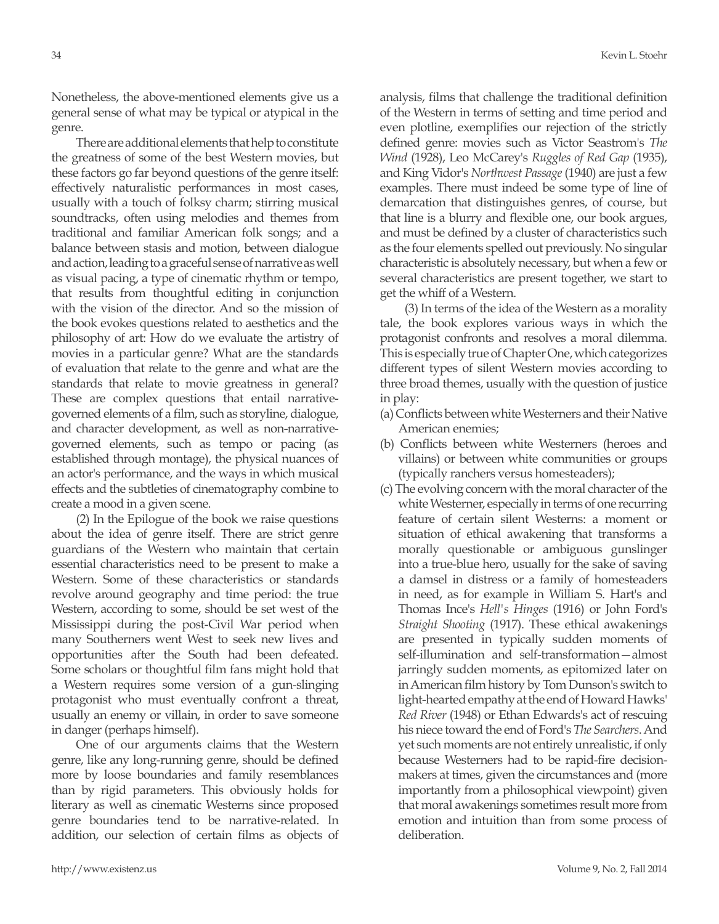Nonetheless, the above-mentioned elements give us a general sense of what may be typical or atypical in the genre.

There are additional elements that help to constitute the greatness of some of the best Western movies, but these factors go far beyond questions of the genre itself: effectively naturalistic performances in most cases, usually with a touch of folksy charm; stirring musical soundtracks, often using melodies and themes from traditional and familiar American folk songs; and a balance between stasis and motion, between dialogue and action, leading to a graceful sense of narrative as well as visual pacing, a type of cinematic rhythm or tempo, that results from thoughtful editing in conjunction with the vision of the director. And so the mission of the book evokes questions related to aesthetics and the philosophy of art: How do we evaluate the artistry of movies in a particular genre? What are the standards of evaluation that relate to the genre and what are the standards that relate to movie greatness in general? These are complex questions that entail narrativegoverned elements of a film, such as storyline, dialogue, and character development, as well as non-narrativegoverned elements, such as tempo or pacing (as established through montage), the physical nuances of an actor's performance, and the ways in which musical effects and the subtleties of cinematography combine to create a mood in a given scene.

(2) In the Epilogue of the book we raise questions about the idea of genre itself. There are strict genre guardians of the Western who maintain that certain essential characteristics need to be present to make a Western. Some of these characteristics or standards revolve around geography and time period: the true Western, according to some, should be set west of the Mississippi during the post-Civil War period when many Southerners went West to seek new lives and opportunities after the South had been defeated. Some scholars or thoughtful film fans might hold that a Western requires some version of a gun-slinging protagonist who must eventually confront a threat, usually an enemy or villain, in order to save someone in danger (perhaps himself).

One of our arguments claims that the Western genre, like any long-running genre, should be defined more by loose boundaries and family resemblances than by rigid parameters. This obviously holds for literary as well as cinematic Westerns since proposed genre boundaries tend to be narrative-related. In addition, our selection of certain films as objects of

analysis, films that challenge the traditional definition of the Western in terms of setting and time period and even plotline, exemplifies our rejection of the strictly defined genre: movies such as Victor Seastrom's *The Wind* (1928), Leo McCarey's *Ruggles of Red Gap* (1935), and King Vidor's *Northwest Passage* (1940) are just a few examples. There must indeed be some type of line of demarcation that distinguishes genres, of course, but that line is a blurry and flexible one, our book argues, and must be defined by a cluster of characteristics such as the four elements spelled out previously. No singular characteristic is absolutely necessary, but when a few or several characteristics are present together, we start to get the whiff of a Western.

(3) In terms of the idea of the Western as a morality tale, the book explores various ways in which the protagonist confronts and resolves a moral dilemma. This is especially true of Chapter One, which categorizes different types of silent Western movies according to three broad themes, usually with the question of justice in play:

- (a) Conflicts between white Westerners and their Native American enemies;
- (b) Conflicts between white Westerners (heroes and villains) or between white communities or groups (typically ranchers versus homesteaders);
- (c) The evolving concern with the moral character of the white Westerner, especially in terms of one recurring feature of certain silent Westerns: a moment or situation of ethical awakening that transforms a morally questionable or ambiguous gunslinger into a true-blue hero, usually for the sake of saving a damsel in distress or a family of homesteaders in need, as for example in William S. Hart's and Thomas Ince's *Hell's Hinges* (1916) or John Ford's *Straight Shooting* (1917). These ethical awakenings are presented in typically sudden moments of self-illumination and self-transformation—almost jarringly sudden moments, as epitomized later on in American film history by Tom Dunson's switch to light-hearted empathy at the end of Howard Hawks' *Red River* (1948) or Ethan Edwards's act of rescuing his niece toward the end of Ford's *The Searchers*. And yet such moments are not entirely unrealistic, if only because Westerners had to be rapid-fire decisionmakers at times, given the circumstances and (more importantly from a philosophical viewpoint) given that moral awakenings sometimes result more from emotion and intuition than from some process of deliberation.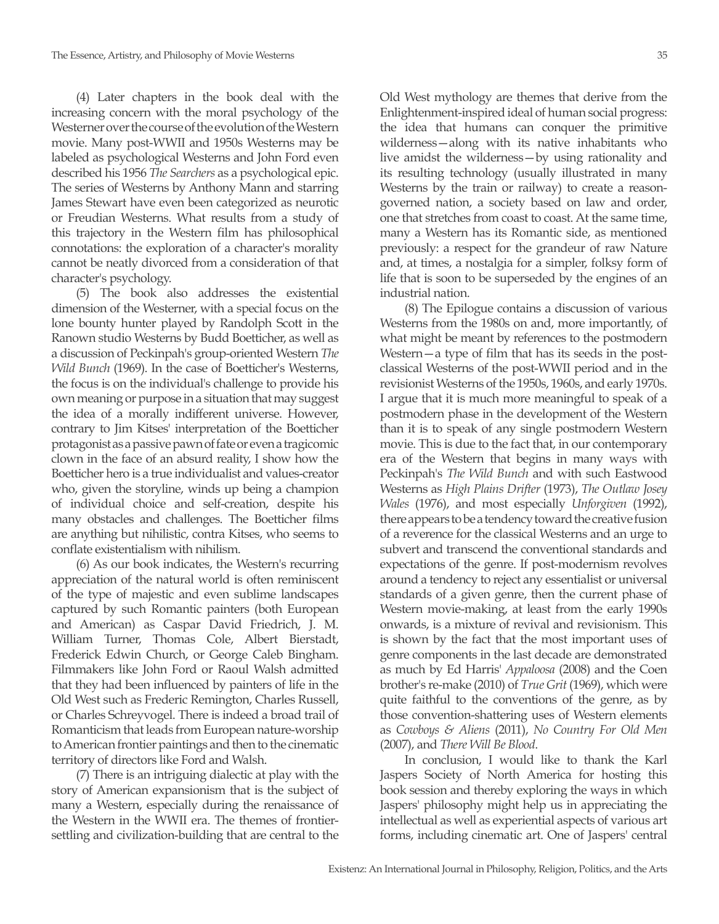(4) Later chapters in the book deal with the increasing concern with the moral psychology of the Westerner over the course of the evolution of the Western movie. Many post-WWII and 1950s Westerns may be labeled as psychological Westerns and John Ford even described his 1956 *The Searchers* as a psychological epic. The series of Westerns by Anthony Mann and starring James Stewart have even been categorized as neurotic or Freudian Westerns. What results from a study of this trajectory in the Western film has philosophical connotations: the exploration of a character's morality cannot be neatly divorced from a consideration of that character's psychology.

(5) The book also addresses the existential dimension of the Westerner, with a special focus on the lone bounty hunter played by Randolph Scott in the Ranown studio Westerns by Budd Boetticher, as well as a discussion of Peckinpah's group-oriented Western *The Wild Bunch* (1969). In the case of Boetticher's Westerns, the focus is on the individual's challenge to provide his own meaning or purpose in a situation that may suggest the idea of a morally indifferent universe. However, contrary to Jim Kitses' interpretation of the Boetticher protagonist as a passive pawn of fate or even a tragicomic clown in the face of an absurd reality, I show how the Boetticher hero is a true individualist and values-creator who, given the storyline, winds up being a champion of individual choice and self-creation, despite his many obstacles and challenges. The Boetticher films are anything but nihilistic, contra Kitses, who seems to conflate existentialism with nihilism.

(6) As our book indicates, the Western's recurring appreciation of the natural world is often reminiscent of the type of majestic and even sublime landscapes captured by such Romantic painters (both European and American) as Caspar David Friedrich, J. M. William Turner, Thomas Cole, Albert Bierstadt, Frederick Edwin Church, or George Caleb Bingham. Filmmakers like John Ford or Raoul Walsh admitted that they had been influenced by painters of life in the Old West such as Frederic Remington, Charles Russell, or Charles Schreyvogel. There is indeed a broad trail of Romanticism that leads from European nature-worship to American frontier paintings and then to the cinematic territory of directors like Ford and Walsh.

(7) There is an intriguing dialectic at play with the story of American expansionism that is the subject of many a Western, especially during the renaissance of the Western in the WWII era. The themes of frontiersettling and civilization-building that are central to the

Old West mythology are themes that derive from the Enlightenment-inspired ideal of human social progress: the idea that humans can conquer the primitive wilderness—along with its native inhabitants who live amidst the wilderness—by using rationality and its resulting technology (usually illustrated in many Westerns by the train or railway) to create a reasongoverned nation, a society based on law and order, one that stretches from coast to coast. At the same time, many a Western has its Romantic side, as mentioned previously: a respect for the grandeur of raw Nature and, at times, a nostalgia for a simpler, folksy form of life that is soon to be superseded by the engines of an industrial nation.

(8) The Epilogue contains a discussion of various Westerns from the 1980s on and, more importantly, of what might be meant by references to the postmodern Western—a type of film that has its seeds in the postclassical Westerns of the post-WWII period and in the revisionist Westerns of the 1950s, 1960s, and early 1970s. I argue that it is much more meaningful to speak of a postmodern phase in the development of the Western than it is to speak of any single postmodern Western movie. This is due to the fact that, in our contemporary era of the Western that begins in many ways with Peckinpah's *The Wild Bunch* and with such Eastwood Westerns as *High Plains Drifter* (1973), *The Outlaw Josey Wales* (1976), and most especially *Unforgiven* (1992), there appears to be a tendency toward the creative fusion of a reverence for the classical Westerns and an urge to subvert and transcend the conventional standards and expectations of the genre. If post-modernism revolves around a tendency to reject any essentialist or universal standards of a given genre, then the current phase of Western movie-making, at least from the early 1990s onwards, is a mixture of revival and revisionism. This is shown by the fact that the most important uses of genre components in the last decade are demonstrated as much by Ed Harris' *Appaloosa* (2008) and the Coen brother's re-make (2010) of *True Grit* (1969), which were quite faithful to the conventions of the genre, as by those convention-shattering uses of Western elements as *Cowboys & Aliens* (2011), *No Country For Old Men* (2007), and *There Will Be Blood*.

In conclusion, I would like to thank the Karl Jaspers Society of North America for hosting this book session and thereby exploring the ways in which Jaspers' philosophy might help us in appreciating the intellectual as well as experiential aspects of various art forms, including cinematic art. One of Jaspers' central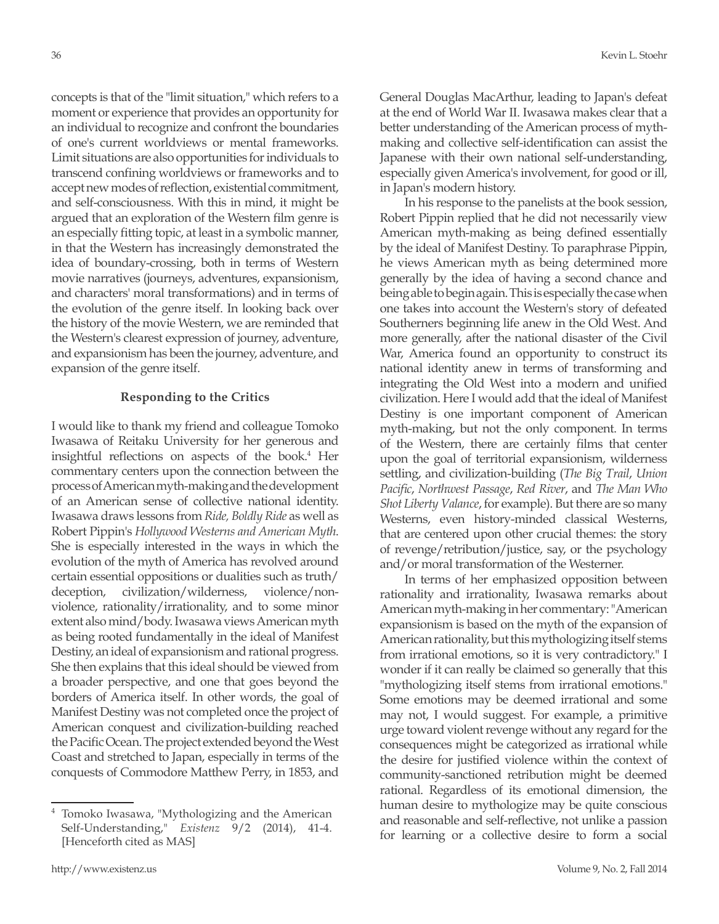concepts is that of the "limit situation," which refers to a moment or experience that provides an opportunity for an individual to recognize and confront the boundaries of one's current worldviews or mental frameworks. Limit situations are also opportunities for individuals to transcend confining worldviews or frameworks and to accept new modes of reflection, existential commitment, and self-consciousness. With this in mind, it might be argued that an exploration of the Western film genre is an especially fitting topic, at least in a symbolic manner, in that the Western has increasingly demonstrated the idea of boundary-crossing, both in terms of Western movie narratives (journeys, adventures, expansionism, and characters' moral transformations) and in terms of the evolution of the genre itself. In looking back over the history of the movie Western, we are reminded that the Western's clearest expression of journey, adventure, and expansionism has been the journey, adventure, and expansion of the genre itself.

## **Responding to the Critics**

I would like to thank my friend and colleague Tomoko Iwasawa of Reitaku University for her generous and insightful reflections on aspects of the book.<sup>4</sup> Her commentary centers upon the connection between the process of American myth-making and the development of an American sense of collective national identity. Iwasawa draws lessons from *Ride, Boldly Ride* as well as Robert Pippin's *Hollywood Westerns and American Myth*. She is especially interested in the ways in which the evolution of the myth of America has revolved around certain essential oppositions or dualities such as truth/ deception, civilization/wilderness, violence/nonviolence, rationality/irrationality, and to some minor extent also mind/body. Iwasawa views American myth as being rooted fundamentally in the ideal of Manifest Destiny, an ideal of expansionism and rational progress. She then explains that this ideal should be viewed from a broader perspective, and one that goes beyond the borders of America itself. In other words, the goal of Manifest Destiny was not completed once the project of American conquest and civilization-building reached the Pacific Ocean. The project extended beyond the West Coast and stretched to Japan, especially in terms of the conquests of Commodore Matthew Perry, in 1853, and

General Douglas MacArthur, leading to Japan's defeat at the end of World War II. Iwasawa makes clear that a better understanding of the American process of mythmaking and collective self-identification can assist the Japanese with their own national self-understanding, especially given America's involvement, for good or ill, in Japan's modern history.

In his response to the panelists at the book session, Robert Pippin replied that he did not necessarily view American myth-making as being defined essentially by the ideal of Manifest Destiny. To paraphrase Pippin, he views American myth as being determined more generally by the idea of having a second chance and being able to begin again. This is especially the case when one takes into account the Western's story of defeated Southerners beginning life anew in the Old West. And more generally, after the national disaster of the Civil War, America found an opportunity to construct its national identity anew in terms of transforming and integrating the Old West into a modern and unified civilization. Here I would add that the ideal of Manifest Destiny is one important component of American myth-making, but not the only component. In terms of the Western, there are certainly films that center upon the goal of territorial expansionism, wilderness settling, and civilization-building (*The Big Trail*, *Union Pacific*, *Northwest Passage*, *Red River*, and *The Man Who Shot Liberty Valance*, for example). But there are so many Westerns, even history-minded classical Westerns, that are centered upon other crucial themes: the story of revenge/retribution/justice, say, or the psychology and/or moral transformation of the Westerner.

In terms of her emphasized opposition between rationality and irrationality, Iwasawa remarks about American myth-making in her commentary: "American expansionism is based on the myth of the expansion of American rationality, but this mythologizing itself stems from irrational emotions, so it is very contradictory." I wonder if it can really be claimed so generally that this "mythologizing itself stems from irrational emotions." Some emotions may be deemed irrational and some may not, I would suggest. For example, a primitive urge toward violent revenge without any regard for the consequences might be categorized as irrational while the desire for justified violence within the context of community-sanctioned retribution might be deemed rational. Regardless of its emotional dimension, the human desire to mythologize may be quite conscious and reasonable and self-reflective, not unlike a passion for learning or a collective desire to form a social

Tomoko Iwasawa, "Mythologizing and the American Self-Understanding," *Existenz* 9/2 (2014), 41-4. [Henceforth cited as MAS]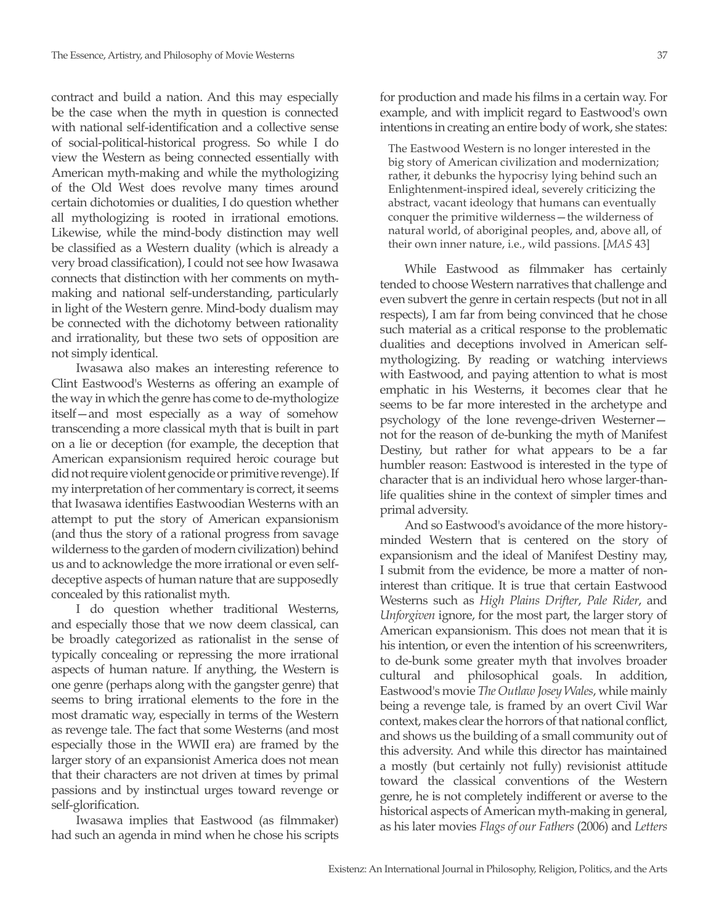contract and build a nation. And this may especially be the case when the myth in question is connected with national self-identification and a collective sense of social-political-historical progress. So while I do view the Western as being connected essentially with American myth-making and while the mythologizing of the Old West does revolve many times around certain dichotomies or dualities, I do question whether all mythologizing is rooted in irrational emotions. Likewise, while the mind-body distinction may well be classified as a Western duality (which is already a very broad classification), I could not see how Iwasawa connects that distinction with her comments on mythmaking and national self-understanding, particularly in light of the Western genre. Mind-body dualism may be connected with the dichotomy between rationality and irrationality, but these two sets of opposition are not simply identical.

Iwasawa also makes an interesting reference to Clint Eastwood's Westerns as offering an example of the way in which the genre has come to de-mythologize itself—and most especially as a way of somehow transcending a more classical myth that is built in part on a lie or deception (for example, the deception that American expansionism required heroic courage but did not require violent genocide or primitive revenge). If my interpretation of her commentary is correct, it seems that Iwasawa identifies Eastwoodian Westerns with an attempt to put the story of American expansionism (and thus the story of a rational progress from savage wilderness to the garden of modern civilization) behind us and to acknowledge the more irrational or even selfdeceptive aspects of human nature that are supposedly concealed by this rationalist myth.

I do question whether traditional Westerns, and especially those that we now deem classical, can be broadly categorized as rationalist in the sense of typically concealing or repressing the more irrational aspects of human nature. If anything, the Western is one genre (perhaps along with the gangster genre) that seems to bring irrational elements to the fore in the most dramatic way, especially in terms of the Western as revenge tale. The fact that some Westerns (and most especially those in the WWII era) are framed by the larger story of an expansionist America does not mean that their characters are not driven at times by primal passions and by instinctual urges toward revenge or self-glorification.

Iwasawa implies that Eastwood (as filmmaker) had such an agenda in mind when he chose his scripts for production and made his films in a certain way. For example, and with implicit regard to Eastwood's own intentions in creating an entire body of work, she states:

The Eastwood Western is no longer interested in the big story of American civilization and modernization; rather, it debunks the hypocrisy lying behind such an Enlightenment-inspired ideal, severely criticizing the abstract, vacant ideology that humans can eventually conquer the primitive wilderness—the wilderness of natural world, of aboriginal peoples, and, above all, of their own inner nature, i.e., wild passions. [*MAS* 43]

While Eastwood as filmmaker has certainly tended to choose Western narratives that challenge and even subvert the genre in certain respects (but not in all respects), I am far from being convinced that he chose such material as a critical response to the problematic dualities and deceptions involved in American selfmythologizing. By reading or watching interviews with Eastwood, and paying attention to what is most emphatic in his Westerns, it becomes clear that he seems to be far more interested in the archetype and psychology of the lone revenge-driven Westerner not for the reason of de-bunking the myth of Manifest Destiny, but rather for what appears to be a far humbler reason: Eastwood is interested in the type of character that is an individual hero whose larger-thanlife qualities shine in the context of simpler times and primal adversity.

And so Eastwood's avoidance of the more historyminded Western that is centered on the story of expansionism and the ideal of Manifest Destiny may, I submit from the evidence, be more a matter of noninterest than critique. It is true that certain Eastwood Westerns such as *High Plains Drifter*, *Pale Rider*, and *Unforgiven* ignore, for the most part, the larger story of American expansionism. This does not mean that it is his intention, or even the intention of his screenwriters, to de-bunk some greater myth that involves broader cultural and philosophical goals. In addition, Eastwood's movie *The Outlaw Josey Wales*, while mainly being a revenge tale, is framed by an overt Civil War context, makes clear the horrors of that national conflict, and shows us the building of a small community out of this adversity. And while this director has maintained a mostly (but certainly not fully) revisionist attitude toward the classical conventions of the Western genre, he is not completely indifferent or averse to the historical aspects of American myth-making in general, as his later movies *Flags of our Fathers* (2006) and *Letters*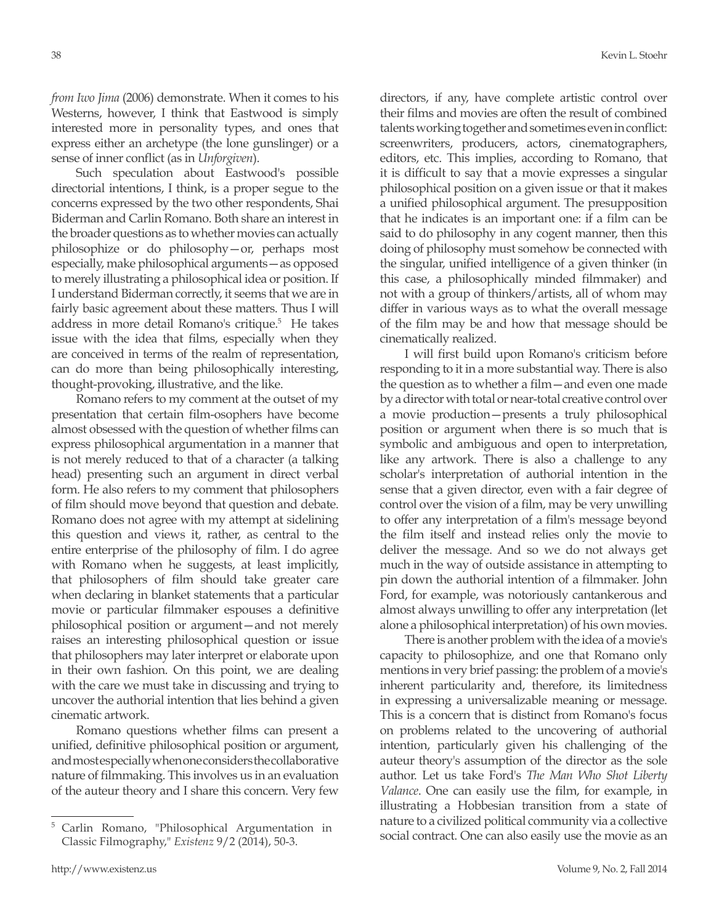*from Iwo Jima* (2006) demonstrate. When it comes to his Westerns, however, I think that Eastwood is simply interested more in personality types, and ones that express either an archetype (the lone gunslinger) or a sense of inner conflict (as in *Unforgiven*).

Such speculation about Eastwood's possible directorial intentions, I think, is a proper segue to the concerns expressed by the two other respondents, Shai Biderman and Carlin Romano. Both share an interest in the broader questions as to whether movies can actually philosophize or do philosophy—or, perhaps most especially, make philosophical arguments—as opposed to merely illustrating a philosophical idea or position. If I understand Biderman correctly, it seems that we are in fairly basic agreement about these matters. Thus I will address in more detail Romano's critique.<sup>5</sup> He takes issue with the idea that films, especially when they are conceived in terms of the realm of representation, can do more than being philosophically interesting, thought-provoking, illustrative, and the like.

Romano refers to my comment at the outset of my presentation that certain film-osophers have become almost obsessed with the question of whether films can express philosophical argumentation in a manner that is not merely reduced to that of a character (a talking head) presenting such an argument in direct verbal form. He also refers to my comment that philosophers of film should move beyond that question and debate. Romano does not agree with my attempt at sidelining this question and views it, rather, as central to the entire enterprise of the philosophy of film. I do agree with Romano when he suggests, at least implicitly, that philosophers of film should take greater care when declaring in blanket statements that a particular movie or particular filmmaker espouses a definitive philosophical position or argument—and not merely raises an interesting philosophical question or issue that philosophers may later interpret or elaborate upon in their own fashion. On this point, we are dealing with the care we must take in discussing and trying to uncover the authorial intention that lies behind a given cinematic artwork.

Romano questions whether films can present a unified, definitive philosophical position or argument, and most especially when one considers the collaborative nature of filmmaking. This involves us in an evaluation of the auteur theory and I share this concern. Very few

directors, if any, have complete artistic control over their films and movies are often the result of combined talents working together and sometimes even in conflict: screenwriters, producers, actors, cinematographers, editors, etc. This implies, according to Romano, that it is difficult to say that a movie expresses a singular philosophical position on a given issue or that it makes a unified philosophical argument. The presupposition that he indicates is an important one: if a film can be said to do philosophy in any cogent manner, then this doing of philosophy must somehow be connected with the singular, unified intelligence of a given thinker (in this case, a philosophically minded filmmaker) and not with a group of thinkers/artists, all of whom may differ in various ways as to what the overall message of the film may be and how that message should be cinematically realized.

I will first build upon Romano's criticism before responding to it in a more substantial way. There is also the question as to whether a film—and even one made by a director with total or near-total creative control over a movie production—presents a truly philosophical position or argument when there is so much that is symbolic and ambiguous and open to interpretation, like any artwork. There is also a challenge to any scholar's interpretation of authorial intention in the sense that a given director, even with a fair degree of control over the vision of a film, may be very unwilling to offer any interpretation of a film's message beyond the film itself and instead relies only the movie to deliver the message. And so we do not always get much in the way of outside assistance in attempting to pin down the authorial intention of a filmmaker. John Ford, for example, was notoriously cantankerous and almost always unwilling to offer any interpretation (let alone a philosophical interpretation) of his own movies.

There is another problem with the idea of a movie's capacity to philosophize, and one that Romano only mentions in very brief passing: the problem of a movie's inherent particularity and, therefore, its limitedness in expressing a universalizable meaning or message. This is a concern that is distinct from Romano's focus on problems related to the uncovering of authorial intention, particularly given his challenging of the auteur theory's assumption of the director as the sole author. Let us take Ford's *The Man Who Shot Liberty Valance*. One can easily use the film, for example, in illustrating a Hobbesian transition from a state of nature to a civilized political community via a collective social contract. One can also easily use the movie as an

<sup>5</sup> Carlin Romano, "Philosophical Argumentation in Classic Filmography," *Existenz* 9/2 (2014), 50-3.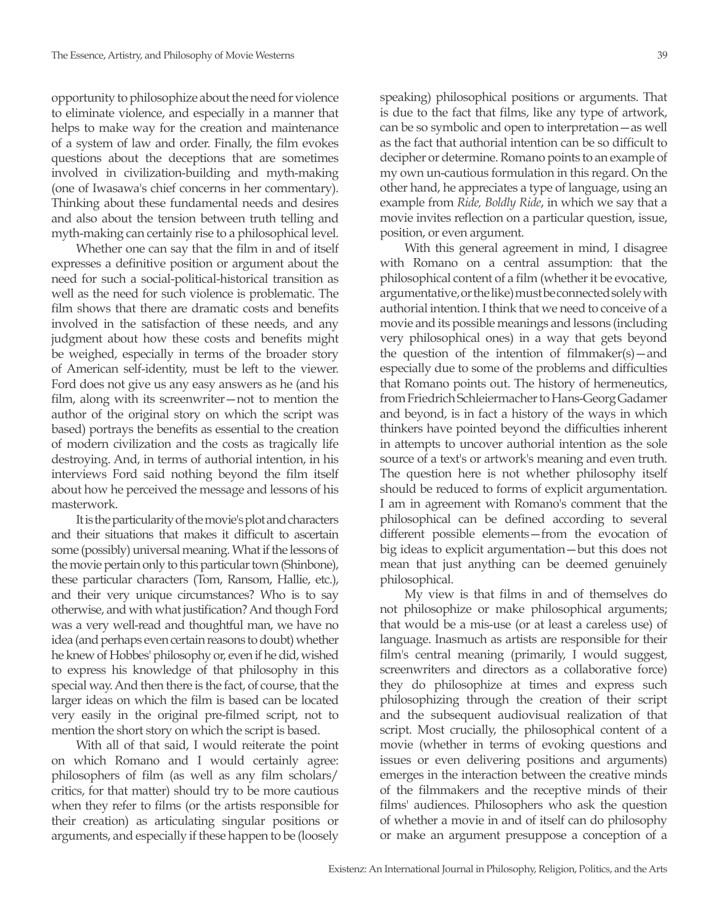opportunity to philosophize about the need for violence to eliminate violence, and especially in a manner that helps to make way for the creation and maintenance of a system of law and order. Finally, the film evokes questions about the deceptions that are sometimes involved in civilization-building and myth-making (one of Iwasawa's chief concerns in her commentary). Thinking about these fundamental needs and desires and also about the tension between truth telling and myth-making can certainly rise to a philosophical level.

Whether one can say that the film in and of itself expresses a definitive position or argument about the need for such a social-political-historical transition as well as the need for such violence is problematic. The film shows that there are dramatic costs and benefits involved in the satisfaction of these needs, and any judgment about how these costs and benefits might be weighed, especially in terms of the broader story of American self-identity, must be left to the viewer. Ford does not give us any easy answers as he (and his film, along with its screenwriter—not to mention the author of the original story on which the script was based) portrays the benefits as essential to the creation of modern civilization and the costs as tragically life destroying. And, in terms of authorial intention, in his interviews Ford said nothing beyond the film itself about how he perceived the message and lessons of his masterwork.

It is the particularity of the movie's plot and characters and their situations that makes it difficult to ascertain some (possibly) universal meaning. What if the lessons of the movie pertain only to this particular town (Shinbone), these particular characters (Tom, Ransom, Hallie, etc.), and their very unique circumstances? Who is to say otherwise, and with what justification? And though Ford was a very well-read and thoughtful man, we have no idea (and perhaps even certain reasons to doubt) whether he knew of Hobbes' philosophy or, even if he did, wished to express his knowledge of that philosophy in this special way. And then there is the fact, of course, that the larger ideas on which the film is based can be located very easily in the original pre-filmed script, not to mention the short story on which the script is based.

With all of that said, I would reiterate the point on which Romano and I would certainly agree: philosophers of film (as well as any film scholars/ critics, for that matter) should try to be more cautious when they refer to films (or the artists responsible for their creation) as articulating singular positions or arguments, and especially if these happen to be (loosely

speaking) philosophical positions or arguments. That is due to the fact that films, like any type of artwork, can be so symbolic and open to interpretation—as well as the fact that authorial intention can be so difficult to decipher or determine. Romano points to an example of my own un-cautious formulation in this regard. On the other hand, he appreciates a type of language, using an example from *Ride, Boldly Ride*, in which we say that a movie invites reflection on a particular question, issue, position, or even argument.

With this general agreement in mind, I disagree with Romano on a central assumption: that the philosophical content of a film (whether it be evocative, argumentative, or the like) must be connected solely with authorial intention. I think that we need to conceive of a movie and its possible meanings and lessons (including very philosophical ones) in a way that gets beyond the question of the intention of filmmaker(s)—and especially due to some of the problems and difficulties that Romano points out. The history of hermeneutics, from Friedrich Schleiermacher to Hans-Georg Gadamer and beyond, is in fact a history of the ways in which thinkers have pointed beyond the difficulties inherent in attempts to uncover authorial intention as the sole source of a text's or artwork's meaning and even truth. The question here is not whether philosophy itself should be reduced to forms of explicit argumentation. I am in agreement with Romano's comment that the philosophical can be defined according to several different possible elements—from the evocation of big ideas to explicit argumentation—but this does not mean that just anything can be deemed genuinely philosophical.

My view is that films in and of themselves do not philosophize or make philosophical arguments; that would be a mis-use (or at least a careless use) of language. Inasmuch as artists are responsible for their film's central meaning (primarily, I would suggest, screenwriters and directors as a collaborative force) they do philosophize at times and express such philosophizing through the creation of their script and the subsequent audiovisual realization of that script. Most crucially, the philosophical content of a movie (whether in terms of evoking questions and issues or even delivering positions and arguments) emerges in the interaction between the creative minds of the filmmakers and the receptive minds of their films' audiences. Philosophers who ask the question of whether a movie in and of itself can do philosophy or make an argument presuppose a conception of a